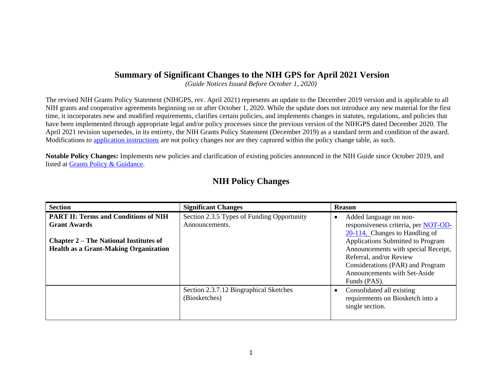## **Summary of Significant Changes to the NIH GPS for April 2021 Version**

*(Guide Notices Issued Before October 1, 2020)* 

The revised NIH Grants Policy Statement (NIHGPS, rev. April 2021) represents an update to the December 2019 version and is applicable to all NIH grants and cooperative agreements beginning on or after October 1, 2020. While the update does not introduce any new material for the first time, it incorporates new and modified requirements, clarifies certain policies, and implements changes in statutes, regulations, and policies that have been implemented through appropriate legal and/or policy processes since the previous version of the NIHGPS dated December 2020. The April 2021 revision supersedes, in its entirety, the NIH Grants Policy Statement (December 2019) as a standard term and condition of the award. Modifications to [application instructions](https://grants.nih.gov/grants/how-to-apply-application-guide.html) are not policy changes nor are they captured within the policy change table, as such.

**Notable Policy Changes:** Implements new policies and clarification of existing policies announced in the NIH Guide since October 2019, and listed at [Grants Policy & Guidance.](http://grants.nih.gov/grants/policy/policy.htm)

## **NIH Policy Changes**

| <b>Section</b>                                                                                                                                                      | <b>Significant Changes</b>                                   | <b>Reason</b>                                                                                                                                                                                                                                                                                  |
|---------------------------------------------------------------------------------------------------------------------------------------------------------------------|--------------------------------------------------------------|------------------------------------------------------------------------------------------------------------------------------------------------------------------------------------------------------------------------------------------------------------------------------------------------|
| <b>PART II: Terms and Conditions of NIH</b><br><b>Grant Awards</b><br><b>Chapter 2 – The National Institutes of</b><br><b>Health as a Grant-Making Organization</b> | Section 2.3.5 Types of Funding Opportunity<br>Announcements. | Added language on non-<br>responsiveness criteria, per NOT-OD-<br>$20-114$ , Changes to Handling of<br>Applications Submitted to Program<br>Announcements with special Receipt,<br>Referral, and/or Review<br>Considerations (PAR) and Program<br>Announcements with Set-Aside<br>Funds (PAS). |
|                                                                                                                                                                     | Section 2.3.7.12 Biographical Sketches<br>(Biosketches)      | Consolidated all existing<br>requirements on Biosketch into a<br>single section.                                                                                                                                                                                                               |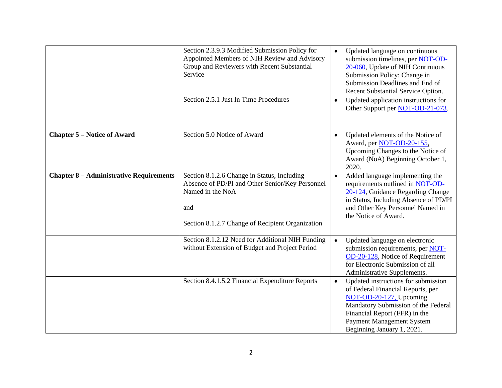|                                                | Section 2.3.9.3 Modified Submission Policy for<br>Appointed Members of NIH Review and Advisory<br>Group and Reviewers with Recent Substantial<br>Service<br>Section 2.5.1 Just In Time Procedures | $\bullet$ | Updated language on continuous<br>submission timelines, per NOT-OD-<br>20-060, Update of NIH Continuous<br>Submission Policy: Change in<br>Submission Deadlines and End of<br>Recent Substantial Service Option.<br>Updated application instructions for<br>Other Support per NOT-OD-21-073. |
|------------------------------------------------|---------------------------------------------------------------------------------------------------------------------------------------------------------------------------------------------------|-----------|----------------------------------------------------------------------------------------------------------------------------------------------------------------------------------------------------------------------------------------------------------------------------------------------|
| <b>Chapter 5 – Notice of Award</b>             | Section 5.0 Notice of Award                                                                                                                                                                       | $\bullet$ | Updated elements of the Notice of<br>Award, per NOT-OD-20-155,<br>Upcoming Changes to the Notice of<br>Award (NoA) Beginning October 1,<br>2020.                                                                                                                                             |
| <b>Chapter 8 - Administrative Requirements</b> | Section 8.1.2.6 Change in Status, Including<br>Absence of PD/PI and Other Senior/Key Personnel<br>Named in the NoA<br>and<br>Section 8.1.2.7 Change of Recipient Organization                     | $\bullet$ | Added language implementing the<br>requirements outlined in NOT-OD-<br>20-124, Guidance Regarding Change<br>in Status, Including Absence of PD/PI<br>and Other Key Personnel Named in<br>the Notice of Award.                                                                                |
|                                                | Section 8.1.2.12 Need for Additional NIH Funding<br>without Extension of Budget and Project Period                                                                                                | $\bullet$ | Updated language on electronic<br>submission requirements, per NOT-<br>OD-20-128, Notice of Requirement<br>for Electronic Submission of all<br>Administrative Supplements.                                                                                                                   |
|                                                | Section 8.4.1.5.2 Financial Expenditure Reports                                                                                                                                                   | $\bullet$ | Updated instructions for submission<br>of Federal Financial Reports, per<br>NOT-OD-20-127, Upcoming<br>Mandatory Submission of the Federal<br>Financial Report (FFR) in the<br>Payment Management System<br>Beginning January 1, 2021.                                                       |